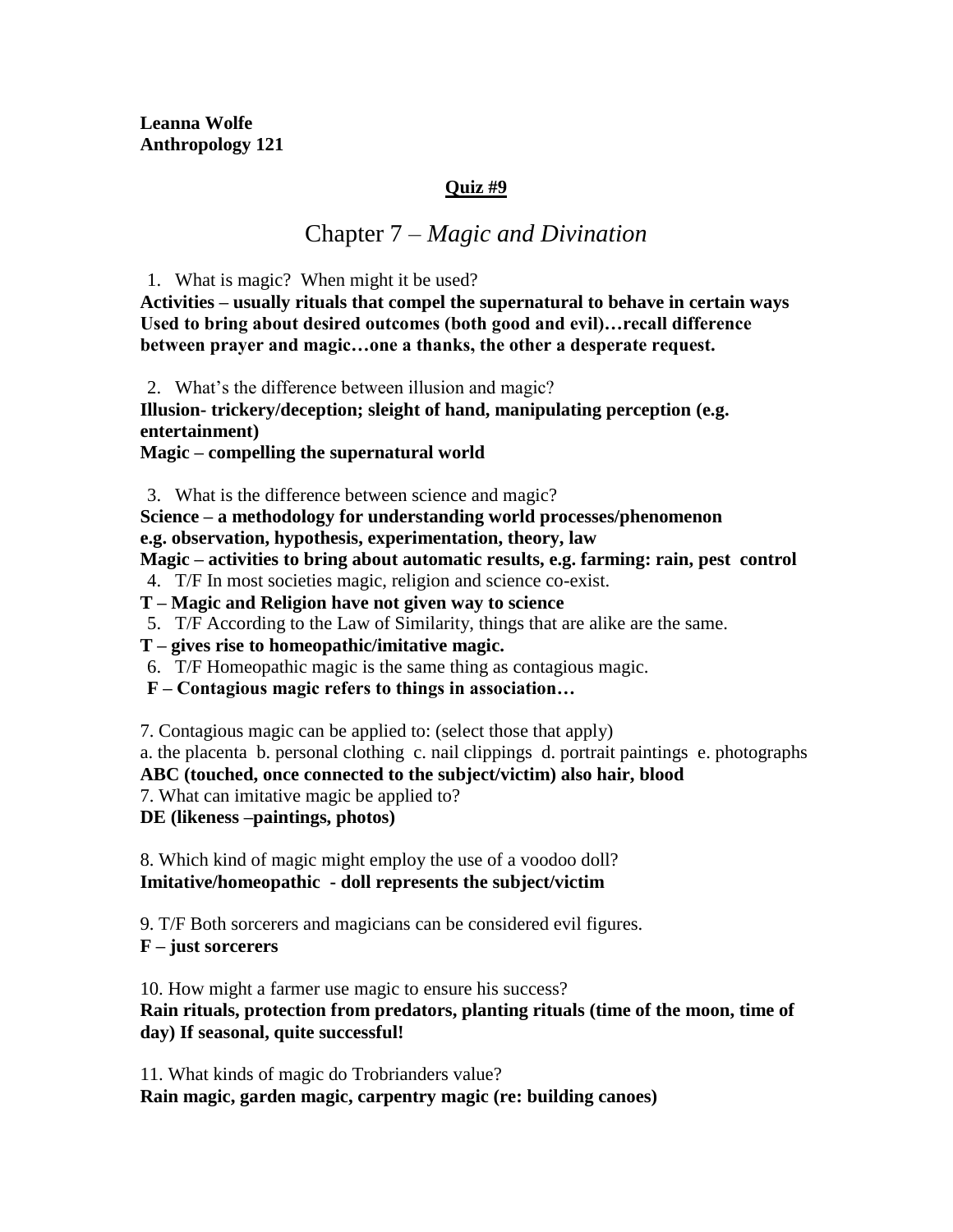**Leanna Wolfe Anthropology 121** 

#### **Quiz #9**

## Chapter 7 – *Magic and Divination*

1. What is magic? When might it be used?

**Activities – usually rituals that compel the supernatural to behave in certain ways Used to bring about desired outcomes (both good and evil)…recall difference between prayer and magic…one a thanks, the other a desperate request.**

2. What's the difference between illusion and magic?

**Illusion- trickery/deception; sleight of hand, manipulating perception (e.g. entertainment)**

**Magic – compelling the supernatural world**

3. What is the difference between science and magic?

**Science – a methodology for understanding world processes/phenomenon e.g. observation, hypothesis, experimentation, theory, law**

**Magic – activities to bring about automatic results, e.g. farming: rain, pest control**

4. T/F In most societies magic, religion and science co-exist.

**T – Magic and Religion have not given way to science**

5. T/F According to the Law of Similarity, things that are alike are the same.

**T – gives rise to homeopathic/imitative magic.**

6. T/F Homeopathic magic is the same thing as contagious magic.

**F – Contagious magic refers to things in association…**

7. Contagious magic can be applied to: (select those that apply)

a. the placenta b. personal clothing c. nail clippings d. portrait paintings e. photographs

**ABC (touched, once connected to the subject/victim) also hair, blood**

7. What can imitative magic be applied to?

**DE (likeness –paintings, photos)**

8. Which kind of magic might employ the use of a voodoo doll? **Imitative/homeopathic - doll represents the subject/victim**

9. T/F Both sorcerers and magicians can be considered evil figures.

**F – just sorcerers**

10. How might a farmer use magic to ensure his success? **Rain rituals, protection from predators, planting rituals (time of the moon, time of day) If seasonal, quite successful!**

11. What kinds of magic do Trobrianders value? **Rain magic, garden magic, carpentry magic (re: building canoes)**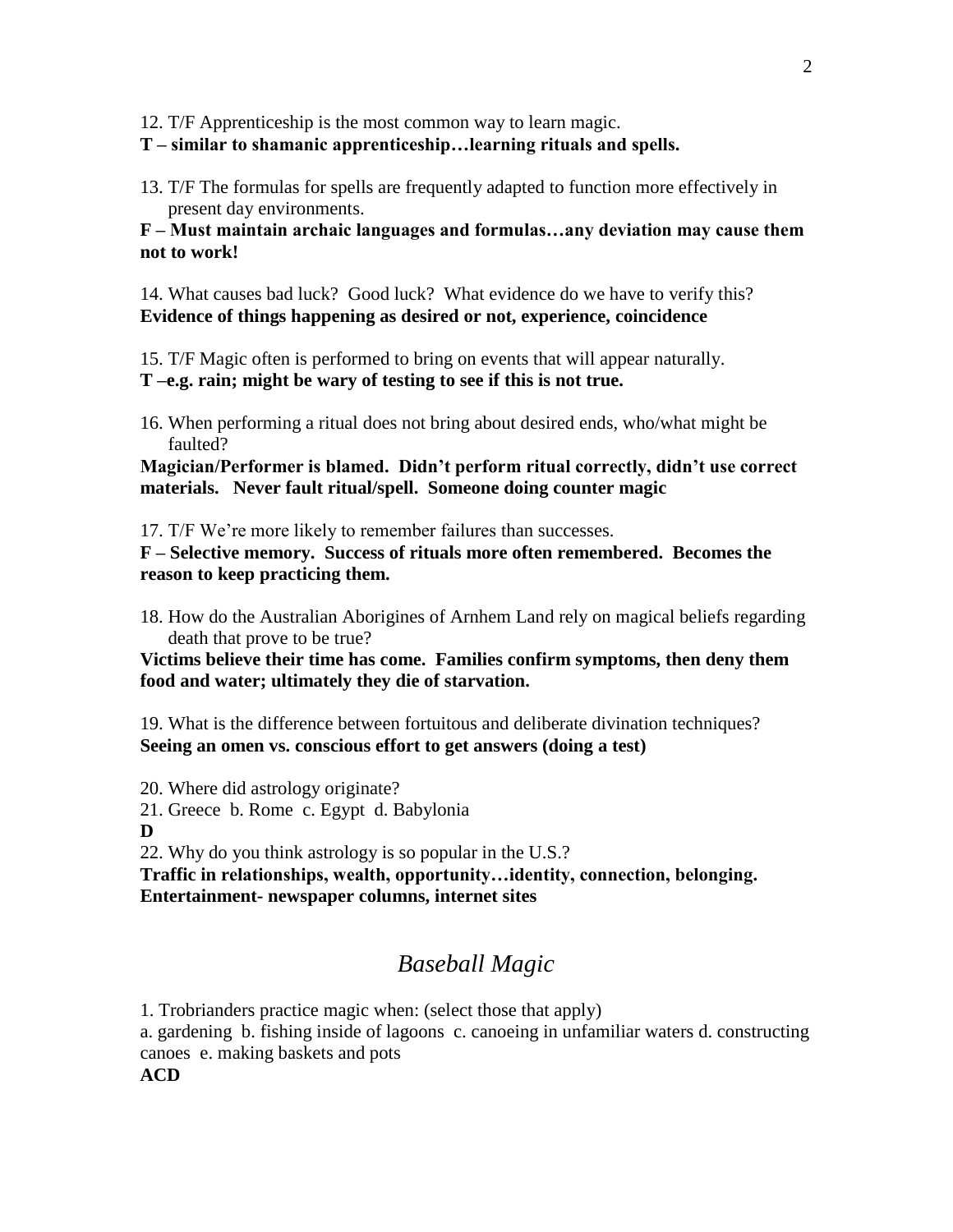12. T/F Apprenticeship is the most common way to learn magic.

**T – similar to shamanic apprenticeship…learning rituals and spells.**

13. T/F The formulas for spells are frequently adapted to function more effectively in present day environments.

**F – Must maintain archaic languages and formulas…any deviation may cause them not to work!**

14. What causes bad luck? Good luck? What evidence do we have to verify this? **Evidence of things happening as desired or not, experience, coincidence**

15. T/F Magic often is performed to bring on events that will appear naturally.

- **T –e.g. rain; might be wary of testing to see if this is not true.**
- 16. When performing a ritual does not bring about desired ends, who/what might be faulted?

**Magician/Performer is blamed. Didn't perform ritual correctly, didn't use correct materials. Never fault ritual/spell. Someone doing counter magic**

17. T/F We're more likely to remember failures than successes.

**F – Selective memory. Success of rituals more often remembered. Becomes the reason to keep practicing them.**

18. How do the Australian Aborigines of Arnhem Land rely on magical beliefs regarding death that prove to be true?

**Victims believe their time has come. Families confirm symptoms, then deny them food and water; ultimately they die of starvation.**

19. What is the difference between fortuitous and deliberate divination techniques? **Seeing an omen vs. conscious effort to get answers (doing a test)**

20. Where did astrology originate?

- 21. Greece b. Rome c. Egypt d. Babylonia
- **D**

22. Why do you think astrology is so popular in the U.S.?

**Traffic in relationships, wealth, opportunity…identity, connection, belonging. Entertainment- newspaper columns, internet sites**

# *Baseball Magic*

1. Trobrianders practice magic when: (select those that apply)

a. gardening b. fishing inside of lagoons c. canoeing in unfamiliar waters d. constructing canoes e. making baskets and pots

**ACD**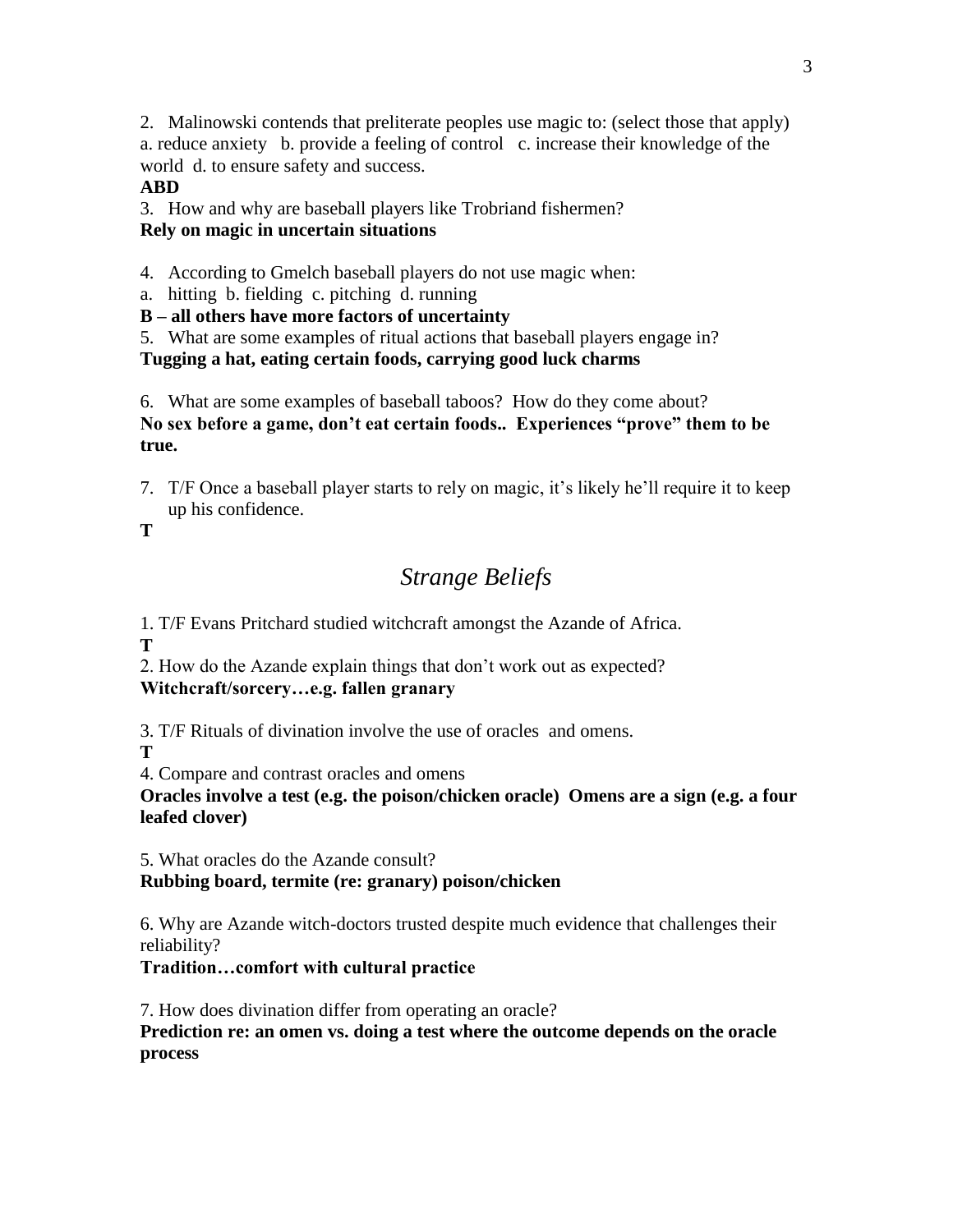2. Malinowski contends that preliterate peoples use magic to: (select those that apply) a. reduce anxiety b. provide a feeling of control c. increase their knowledge of the world d. to ensure safety and success.

### **ABD**

3. How and why are baseball players like Trobriand fishermen? **Rely on magic in uncertain situations**

4. According to Gmelch baseball players do not use magic when:

a. hitting b. fielding c. pitching d. running

**B – all others have more factors of uncertainty**

5. What are some examples of ritual actions that baseball players engage in? **Tugging a hat, eating certain foods, carrying good luck charms**

6. What are some examples of baseball taboos? How do they come about? **No sex before a game, don't eat certain foods.. Experiences "prove" them to be true.**

7. T/F Once a baseball player starts to rely on magic, it's likely he'll require it to keep up his confidence.

**T**

# *Strange Beliefs*

1. T/F Evans Pritchard studied witchcraft amongst the Azande of Africa. **T**

2. How do the Azande explain things that don't work out as expected? **Witchcraft/sorcery…e.g. fallen granary**

3. T/F Rituals of divination involve the use of oracles and omens.

**T**

4. Compare and contrast oracles and omens

**Oracles involve a test (e.g. the poison/chicken oracle) Omens are a sign (e.g. a four leafed clover)**

5. What oracles do the Azande consult?

### **Rubbing board, termite (re: granary) poison/chicken**

6. Why are Azande witch-doctors trusted despite much evidence that challenges their reliability?

### **Tradition…comfort with cultural practice**

7. How does divination differ from operating an oracle?

**Prediction re: an omen vs. doing a test where the outcome depends on the oracle process**